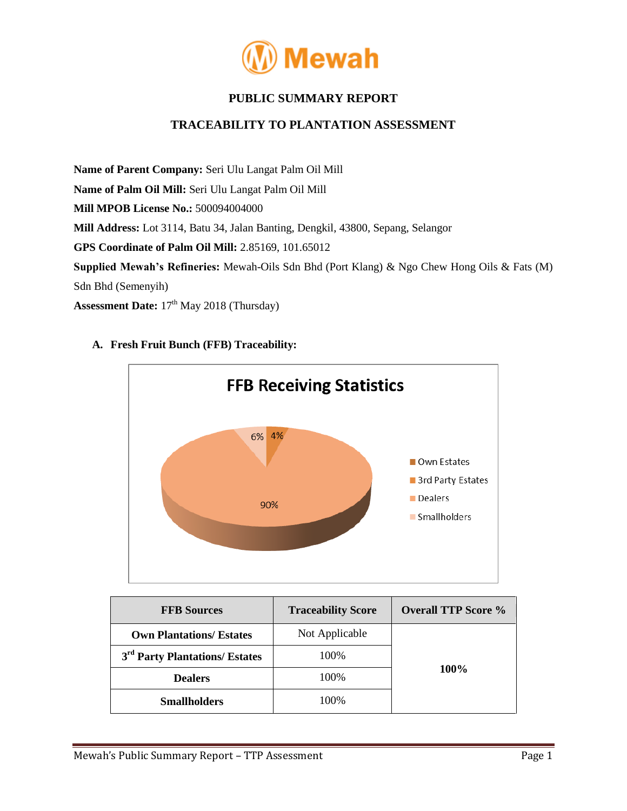

# **PUBLIC SUMMARY REPORT**

## **TRACEABILITY TO PLANTATION ASSESSMENT**

**Name of Parent Company:** Seri Ulu Langat Palm Oil Mill **Name of Palm Oil Mill:** Seri Ulu Langat Palm Oil Mill **Mill MPOB License No.:** 500094004000 **Mill Address:** Lot 3114, Batu 34, Jalan Banting, Dengkil, 43800, Sepang, Selangor **GPS Coordinate of Palm Oil Mill:** 2.85169, 101.65012 **Supplied Mewah's Refineries:** Mewah-Oils Sdn Bhd (Port Klang) & Ngo Chew Hong Oils & Fats (M) Sdn Bhd (Semenyih) Assessment Date:  $17<sup>th</sup>$  May 2018 (Thursday)

**FFB Receiving Statistics** 6% 4% Own Estates 3rd Party Estates Dealers 90% Smallholders

## **A. Fresh Fruit Bunch (FFB) Traceability:**

| <b>FFB Sources</b>                         | <b>Traceability Score</b> | <b>Overall TTP Score %</b> |  |
|--------------------------------------------|---------------------------|----------------------------|--|
| <b>Own Plantations/ Estates</b>            | Not Applicable            |                            |  |
| 3 <sup>rd</sup> Party Plantations/ Estates | 100%                      | $100\%$                    |  |
| <b>Dealers</b>                             | 100%                      |                            |  |
| <b>Smallholders</b>                        | 100%                      |                            |  |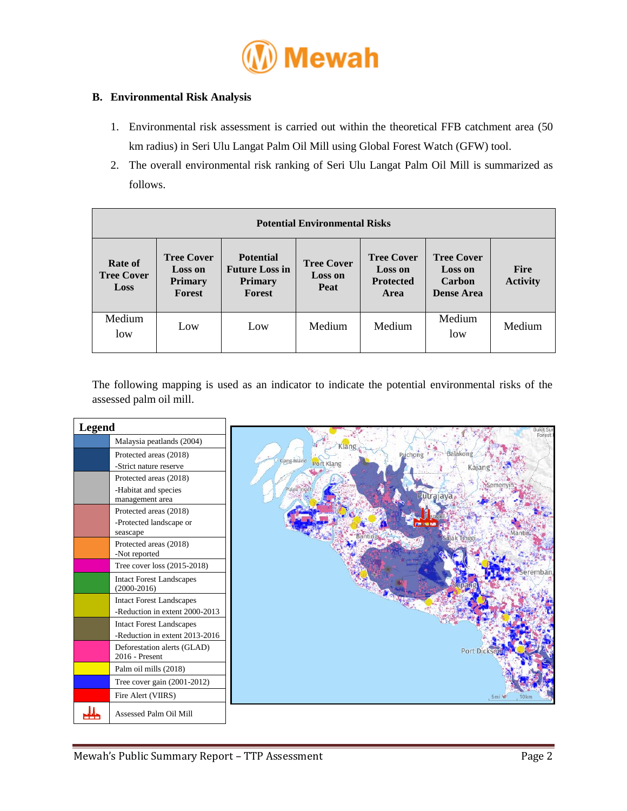

### **B. Environmental Risk Analysis**

- 1. Environmental risk assessment is carried out within the theoretical FFB catchment area (50 km radius) in Seri Ulu Langat Palm Oil Mill using Global Forest Watch (GFW) tool.
- 2. The overall environmental risk ranking of Seri Ulu Langat Palm Oil Mill is summarized as follows.

| <b>Potential Environmental Risks</b>        |                                                                 |                                                                       |                                             |                                                                 |                                                                    |                                |  |
|---------------------------------------------|-----------------------------------------------------------------|-----------------------------------------------------------------------|---------------------------------------------|-----------------------------------------------------------------|--------------------------------------------------------------------|--------------------------------|--|
| Rate of<br><b>Tree Cover</b><br><b>Loss</b> | <b>Tree Cover</b><br><b>Loss on</b><br><b>Primary</b><br>Forest | <b>Potential</b><br><b>Future Loss in</b><br><b>Primary</b><br>Forest | <b>Tree Cover</b><br><b>Loss on</b><br>Peat | <b>Tree Cover</b><br><b>Loss on</b><br><b>Protected</b><br>Area | <b>Tree Cover</b><br><b>Loss on</b><br>Carbon<br><b>Dense Area</b> | <b>Fire</b><br><b>Activity</b> |  |
| Medium<br>low                               | Low                                                             | Low                                                                   | Medium                                      | Medium                                                          | Medium<br>low                                                      | Medium                         |  |

The following mapping is used as an indicator to indicate the potential environmental risks of the assessed palm oil mill.